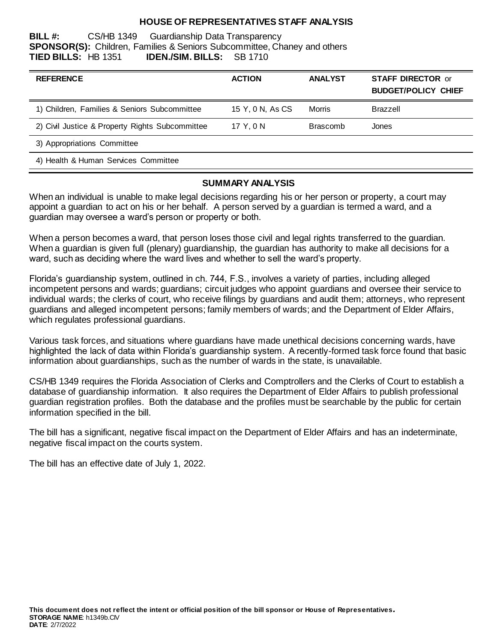## **HOUSE OF REPRESENTATIVES STAFF ANALYSIS**

**BILL #:** CS/HB 1349 Guardianship Data Transparency **SPONSOR(S):** Children, Families & Seniors Subcommittee, Chaney and others **TIED BILLS:** HB 1351 **IDEN./SIM. BILLS:** SB 1710

| <b>REFERENCE</b>                                | <b>ACTION</b>    | <b>ANALYST</b>  | <b>STAFF DIRECTOR or</b><br><b>BUDGET/POLICY CHIEF</b> |
|-------------------------------------------------|------------------|-----------------|--------------------------------------------------------|
| 1) Children, Families & Seniors Subcommittee    | 15 Y, 0 N, As CS | Morris          | Brazzell                                               |
| 2) Civil Justice & Property Rights Subcommittee | 17 Y, 0 N        | <b>Brascomb</b> | Jones                                                  |
| 3) Appropriations Committee                     |                  |                 |                                                        |
| 4) Health & Human Services Committee            |                  |                 |                                                        |

### **SUMMARY ANALYSIS**

When an individual is unable to make legal decisions regarding his or her person or property, a court may appoint a guardian to act on his or her behalf. A person served by a guardian is termed a ward, and a guardian may oversee a ward's person or property or both.

When a person becomes a ward, that person loses those civil and legal rights transferred to the guardian. When a guardian is given full (plenary) guardianship, the guardian has authority to make all decisions for a ward, such as deciding where the ward lives and whether to sell the ward's property.

Florida's guardianship system, outlined in ch. 744, F.S., involves a variety of parties, including alleged incompetent persons and wards; guardians; circuit judges who appoint guardians and oversee their service to individual wards; the clerks of court, who receive filings by guardians and audit them; attorneys, who represent guardians and alleged incompetent persons; family members of wards; and the Department of Elder Affairs, which regulates professional guardians.

Various task forces, and situations where guardians have made unethical decisions concerning wards, have highlighted the lack of data within Florida's guardianship system. A recently-formed task force found that basic information about guardianships, such as the number of wards in the state, is unavailable.

CS/HB 1349 requires the Florida Association of Clerks and Comptrollers and the Clerks of Court to establish a database of guardianship information. It also requires the Department of Elder Affairs to publish professional guardian registration profiles. Both the database and the profiles must be searchable by the public for certain information specified in the bill.

The bill has a significant, negative fiscal impact on the Department of Elder Affairs and has an indeterminate, negative fiscal impact on the courts system.

The bill has an effective date of July 1, 2022.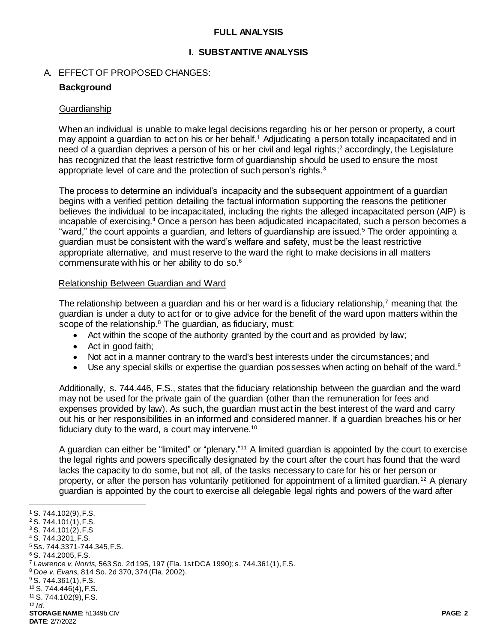## **FULL ANALYSIS**

### **I. SUBSTANTIVE ANALYSIS**

### A. EFFECT OF PROPOSED CHANGES:

## **Background**

### **Guardianship**

When an individual is unable to make legal decisions regarding his or her person or property, a court may appoint a guardian to act on his or her behalf.<sup>1</sup> Adjudicating a person totally incapacitated and in need of a guardian deprives a person of his or her civil and legal rights; <sup>2</sup> accordingly, the Legislature has recognized that the least restrictive form of guardianship should be used to ensure the most appropriate level of care and the protection of such person's rights.<sup>3</sup>

The process to determine an individual's incapacity and the subsequent appointment of a guardian begins with a verified petition detailing the factual information supporting the reasons the petitioner believes the individual to be incapacitated, including the rights the alleged incapacitated person (AIP) is incapable of exercising.<sup>4</sup> Once a person has been adjudicated incapacitated, such a person becomes a "ward," the court appoints a guardian, and letters of guardianship are issued.<sup>5</sup> The order appointing a guardian must be consistent with the ward's welfare and safety, must be the least restrictive appropriate alternative, and must reserve to the ward the right to make decisions in all matters commensurate with his or her ability to do so.<sup>6</sup>

### Relationship Between Guardian and Ward

The relationship between a guardian and his or her ward is a fiduciary relationship,<sup>7</sup> meaning that the guardian is under a duty to act for or to give advice for the benefit of the ward upon matters within the scope of the relationship.<sup>8</sup> The guardian, as fiduciary, must:

- Act within the scope of the authority granted by the court and as provided by law;
- Act in good faith;
- Not act in a manner contrary to the ward's best interests under the circumstances; and
- Use any special skills or expertise the guardian possesses when acting on behalf of the ward.<sup>9</sup>

Additionally, s. 744.446, F.S., states that the fiduciary relationship between the guardian and the ward may not be used for the private gain of the guardian (other than the remuneration for fees and expenses provided by law). As such, the guardian must act in the best interest of the ward and carry out his or her responsibilities in an informed and considered manner. If a guardian breaches his or her fiduciary duty to the ward, a court may intervene.<sup>10</sup>

A guardian can either be "limited" or "plenary."<sup>11</sup> A limited guardian is appointed by the court to exercise the legal rights and powers specifically designated by the court after the court has found that the ward lacks the capacity to do some, but not all, of the tasks necessary to care for his or her person or property, or after the person has voluntarily petitioned for appointment of a limited guardian.<sup>12</sup> A plenary guardian is appointed by the court to exercise all delegable legal rights and powers of the ward after

l

<sup>1</sup> S. 744.102(9), F.S.

<sup>2</sup> S. 744.101(1), F.S.

<sup>3</sup> S. 744.101(2), F.S

<sup>4</sup> S. 744.3201, F.S.

<sup>5</sup> Ss. 744.3371-744.345, F.S.

<sup>6</sup> S. 744.2005, F.S.

<sup>7</sup> *Lawrence v. Norris,* 563 So. 2d 195, 197 (Fla. 1st DCA 1990); s. 744.361(1), F.S.

<sup>8</sup> *Doe v. Evans,* 814 So. 2d 370, 374 (Fla. 2002).

<sup>9</sup> S. 744.361(1), F.S.

<sup>10</sup> S. 744.446(4), F.S. <sup>11</sup> S. 744.102(9), F.S.

 $12$  *Id.* 

**STORAGE NAME**: h1349b.CIV **PAGE: 2 DATE**: 2/7/2022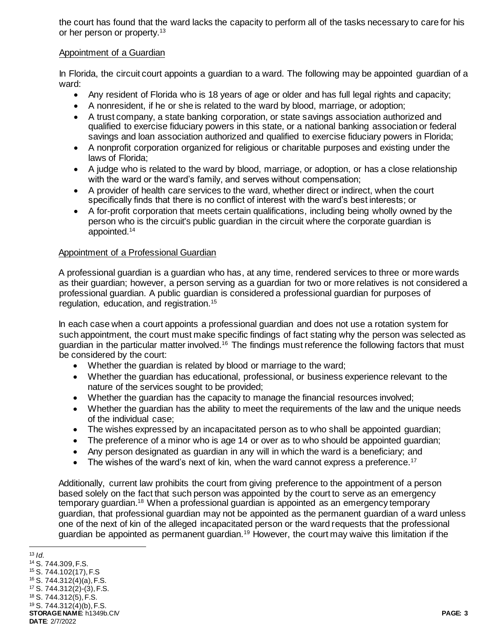the court has found that the ward lacks the capacity to perform all of the tasks necessary to care for his or her person or property.<sup>13</sup>

## Appointment of a Guardian

In Florida, the circuit court appoints a guardian to a ward. The following may be appointed guardian of a ward:

- Any resident of Florida who is 18 years of age or older and has full legal rights and capacity;
- A nonresident, if he or she is related to the ward by blood, marriage, or adoption;
- A trust company, a state banking corporation, or state savings association authorized and qualified to exercise fiduciary powers in this state, or a national banking association or federal savings and loan association authorized and qualified to exercise fiduciary powers in Florida;
- A nonprofit corporation organized for religious or charitable purposes and existing under the laws of Florida;
- A judge who is related to the ward by blood, marriage, or adoption, or has a close relationship with the ward or the ward's family, and serves without compensation;
- A provider of health care services to the ward, whether direct or indirect, when the court specifically finds that there is no conflict of interest with the ward's best interests; or
- A for-profit corporation that meets certain qualifications, including being wholly owned by the person who is the circuit's public guardian in the circuit where the corporate guardian is appointed.<sup>14</sup>

### Appointment of a Professional Guardian

A professional guardian is a guardian who has, at any time, rendered services to three or more wards as their guardian; however, a person serving as a guardian for two or more relatives is not considered a professional guardian. A public guardian is considered a professional guardian for purposes of regulation, education, and registration.<sup>15</sup>

In each case when a court appoints a professional guardian and does not use a rotation system for such appointment, the court must make specific findings of fact stating why the person was selected as guardian in the particular matter involved.<sup>16</sup> The findings must reference the following factors that must be considered by the court:

- Whether the guardian is related by blood or marriage to the ward;
- Whether the guardian has educational, professional, or business experience relevant to the nature of the services sought to be provided;
- Whether the guardian has the capacity to manage the financial resources involved;
- Whether the guardian has the ability to meet the requirements of the law and the unique needs of the individual case;
- The wishes expressed by an incapacitated person as to who shall be appointed guardian;
- The preference of a minor who is age 14 or over as to who should be appointed guardian;
- Any person designated as guardian in any will in which the ward is a beneficiary; and
- The wishes of the ward's next of kin, when the ward cannot express a preference.<sup>17</sup>

Additionally, current law prohibits the court from giving preference to the appointment of a person based solely on the fact that such person was appointed by the court to serve as an emergency temporary guardian.<sup>18</sup> When a professional guardian is appointed as an emergency temporary guardian, that professional guardian may not be appointed as the permanent guardian of a ward unless one of the next of kin of the alleged incapacitated person or the ward requests that the professional guardian be appointed as permanent guardian.<sup>19</sup> However, the court may waive this limitation if the

l

**STORAGE NAME**: h1349b.CIV **PAGE: 3 DATE**: 2/7/2022  $13$  *Id.* <sup>14</sup> S. 744.309, F.S. <sup>15</sup> S. 744.102(17), F.S <sup>16</sup> S. 744.312(4)(a), F.S. <sup>17</sup> S. 744.312(2)-(3), F.S. <sup>18</sup> S. 744.312(5), F.S. <sup>19</sup> S. 744.312(4)(b), F.S.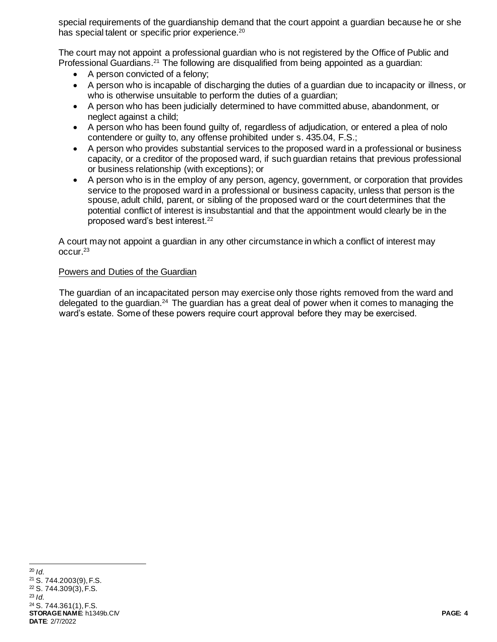special requirements of the guardianship demand that the court appoint a guardian because he or she has special talent or specific prior experience.<sup>20</sup>

The court may not appoint a professional guardian who is not registered by the Office of Public and Professional Guardians.<sup>21</sup> The following are disqualified from being appointed as a quardian:

- A person convicted of a felony;
- A person who is incapable of discharging the duties of a guardian due to incapacity or illness, or who is otherwise unsuitable to perform the duties of a guardian;
- A person who has been judicially determined to have committed abuse, abandonment, or neglect against a child;
- A person who has been found guilty of, regardless of adjudication, or entered a plea of nolo contendere or guilty to, any offense prohibited under s. 435.04, F.S.;
- A person who provides substantial services to the proposed ward in a professional or business capacity, or a creditor of the proposed ward, if such guardian retains that previous professional or business relationship (with exceptions); or
- A person who is in the employ of any person, agency, government, or corporation that provides service to the proposed ward in a professional or business capacity, unless that person is the spouse, adult child, parent, or sibling of the proposed ward or the court determines that the potential conflict of interest is insubstantial and that the appointment would clearly be in the proposed ward's best interest.<sup>22</sup>

A court may not appoint a guardian in any other circumstance in which a conflict of interest may occur.<sup>23</sup>

### Powers and Duties of the Guardian

The guardian of an incapacitated person may exercise only those rights removed from the ward and delegated to the guardian.<sup>24</sup> The guardian has a great deal of power when it comes to managing the ward's estate. Some of these powers require court approval before they may be exercised.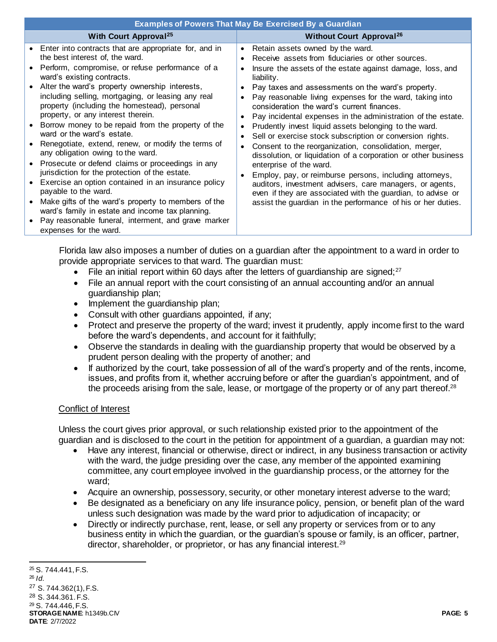| <b>Examples of Powers That May Be Exercised By a Guardian</b>                                                                                                                                                                                                                                                                                                                                                                                                                                                                                                                                                                                                                                                                                                                                                                                                                                                                           |                                                                                                                                                                                                                                                                                                                                                                                                                                                                                                                                                                                                                                                                                                                                                                                                                                                                                                                                                             |  |  |
|-----------------------------------------------------------------------------------------------------------------------------------------------------------------------------------------------------------------------------------------------------------------------------------------------------------------------------------------------------------------------------------------------------------------------------------------------------------------------------------------------------------------------------------------------------------------------------------------------------------------------------------------------------------------------------------------------------------------------------------------------------------------------------------------------------------------------------------------------------------------------------------------------------------------------------------------|-------------------------------------------------------------------------------------------------------------------------------------------------------------------------------------------------------------------------------------------------------------------------------------------------------------------------------------------------------------------------------------------------------------------------------------------------------------------------------------------------------------------------------------------------------------------------------------------------------------------------------------------------------------------------------------------------------------------------------------------------------------------------------------------------------------------------------------------------------------------------------------------------------------------------------------------------------------|--|--|
| <b>With Court Approval<sup>25</sup></b>                                                                                                                                                                                                                                                                                                                                                                                                                                                                                                                                                                                                                                                                                                                                                                                                                                                                                                 | <b>Without Court Approval<sup>26</sup></b>                                                                                                                                                                                                                                                                                                                                                                                                                                                                                                                                                                                                                                                                                                                                                                                                                                                                                                                  |  |  |
| Enter into contracts that are appropriate for, and in<br>the best interest of, the ward.<br>Perform, compromise, or refuse performance of a<br>ward's existing contracts.<br>Alter the ward's property ownership interests,<br>including selling, mortgaging, or leasing any real<br>property (including the homestead), personal<br>property, or any interest therein.<br>Borrow money to be repaid from the property of the<br>ward or the ward's estate.<br>Renegotiate, extend, renew, or modify the terms of<br>any obligation owing to the ward.<br>Prosecute or defend claims or proceedings in any<br>jurisdiction for the protection of the estate.<br>Exercise an option contained in an insurance policy<br>payable to the ward.<br>Make gifts of the ward's property to members of the<br>ward's family in estate and income tax planning.<br>Pay reasonable funeral, interment, and grave marker<br>expenses for the ward. | Retain assets owned by the ward.<br>$\bullet$<br>Receive assets from fiduciaries or other sources.<br>Insure the assets of the estate against damage, loss, and<br>liability.<br>Pay taxes and assessments on the ward's property.<br>Pay reasonable living expenses for the ward, taking into<br>consideration the ward's current finances.<br>Pay incidental expenses in the administration of the estate.<br>Prudently invest liquid assets belonging to the ward.<br>Sell or exercise stock subscription or conversion rights.<br>$\bullet$<br>Consent to the reorganization, consolidation, merger,<br>dissolution, or liquidation of a corporation or other business<br>enterprise of the ward.<br>Employ, pay, or reimburse persons, including attorneys,<br>auditors, investment advisers, care managers, or agents,<br>even if they are associated with the guardian, to advise or<br>assist the guardian in the performance of his or her duties. |  |  |

Florida law also imposes a number of duties on a guardian after the appointment to a ward in order to provide appropriate services to that ward. The guardian must:

- File an initial report within 60 days after the letters of quardianship are signed; $27$
- File an annual report with the court consisting of an annual accounting and/or an annual guardianship plan;
- Implement the guardianship plan;
- Consult with other quardians appointed, if any;
- Protect and preserve the property of the ward; invest it prudently, apply income first to the ward before the ward's dependents, and account for it faithfully;
- Observe the standards in dealing with the guardianship property that would be observed by a prudent person dealing with the property of another; and
- If authorized by the court, take possession of all of the ward's property and of the rents, income, issues, and profits from it, whether accruing before or after the guardian's appointment, and of the proceeds arising from the sale, lease, or mortgage of the property or of any part thereof.<sup>28</sup>

### Conflict of Interest

Unless the court gives prior approval, or such relationship existed prior to the appointment of the guardian and is disclosed to the court in the petition for appointment of a guardian, a guardian may not:

- Have any interest, financial or otherwise, direct or indirect, in any business transaction or activity with the ward, the judge presiding over the case, any member of the appointed examining committee, any court employee involved in the guardianship process, or the attorney for the ward;
- Acquire an ownership, possessory, security, or other monetary interest adverse to the ward;
- Be designated as a beneficiary on any life insurance policy, pension, or benefit plan of the ward unless such designation was made by the ward prior to adjudication of incapacity; or
- Directly or indirectly purchase, rent, lease, or sell any property or services from or to any business entity in which the guardian, or the guardian's spouse or family, is an officer, partner, director, shareholder, or proprietor, or has any financial interest.<sup>29</sup>

**STORAGE NAME**: h1349b.CIV **PAGE: 5 DATE**: 2/7/2022 l <sup>25</sup> S. 744.441, F.S. <sup>26</sup> *Id.* <sup>27</sup> S. 744.362(1), F.S. <sup>28</sup> S. 344.361. F.S. <sup>29</sup> S. 744.446, F.S.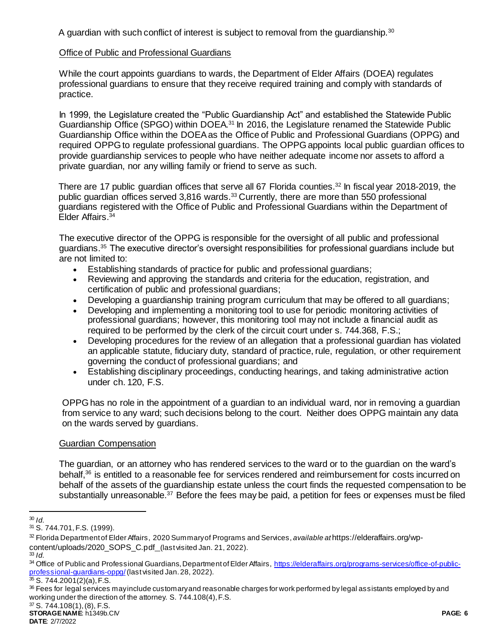A guardian with such conflict of interest is subject to removal from the quardianship. $30$ 

## Office of Public and Professional Guardians

While the court appoints guardians to wards, the Department of Elder Affairs (DOEA) regulates professional guardians to ensure that they receive required training and comply with standards of practice.

In 1999, the Legislature created the "Public Guardianship Act" and established the Statewide Public Guardianship Office (SPGO) within DOEA.<sup>31</sup> In 2016, the Legislature renamed the Statewide Public Guardianship Office within the DOEA as the Office of Public and Professional Guardians (OPPG) and required OPPG to regulate professional guardians. The OPPG appoints local public guardian offices to provide guardianship services to people who have neither adequate income nor assets to afford a private guardian, nor any willing family or friend to serve as such.

There are 17 public guardian offices that serve all 67 Florida counties.<sup>32</sup> In fiscal year 2018-2019, the public guardian offices served 3,816 wards.<sup>33</sup> Currently, there are more than 550 professional guardians registered with the Office of Public and Professional Guardians within the Department of Elder Affairs.<sup>34</sup>

The executive director of the OPPG is responsible for the oversight of all public and professional guardians.<sup>35</sup> The executive director's oversight responsibilities for professional guardians include but are not limited to:

- Establishing standards of practice for public and professional guardians;
- Reviewing and approving the standards and criteria for the education, registration, and certification of public and professional guardians;
- Developing a guardianship training program curriculum that may be offered to all guardians;
- Developing and implementing a monitoring tool to use for periodic monitoring activities of professional guardians; however, this monitoring tool may not include a financial audit as required to be performed by the clerk of the circuit court under s. 744.368, F.S.;
- Developing procedures for the review of an allegation that a professional guardian has violated an applicable statute, fiduciary duty, standard of practice, rule, regulation, or other requirement governing the conduct of professional guardians; and
- Establishing disciplinary proceedings, conducting hearings, and taking administrative action under ch. 120, F.S.

OPPG has no role in the appointment of a guardian to an individual ward, nor in removing a guardian from service to any ward; such decisions belong to the court. Neither does OPPG maintain any data on the wards served by guardians.

# Guardian Compensation

The guardian, or an attorney who has rendered services to the ward or to the guardian on the ward's behalf,<sup>36</sup> is entitled to a reasonable fee for services rendered and reimbursement for costs incurred on behalf of the assets of the guardianship estate unless the court finds the requested compensation to be substantially unreasonable.<sup>37</sup> Before the fees may be paid, a petition for fees or expenses must be filed

<sup>33</sup> *Id.*

l <sup>30</sup> *Id.*

<sup>31</sup> S. 744.701, F.S. (1999).

<sup>32</sup> Florida Department of Elder Affairs, 2020 Summary of Programs and Services, *available at* https://elderaffairs.org/wpcontent/uploads/2020\_SOPS\_C.pdf (last visited Jan. 21, 2022).

<sup>34</sup> Office of Public and Professional Guardians, Department of Elder Affairs, [https://elderaffairs.org/programs-services/office-of-public](https://elderaffairs.org/programs-services/office-of-public-professional-guardians-oppg/)[professional-guardians-oppg/](https://elderaffairs.org/programs-services/office-of-public-professional-guardians-oppg/)(last visited Jan. 28, 2022).

 $35 S. 744.2001(2)(a)$ , F.S.

<sup>&</sup>lt;sup>36</sup> Fees for legal services may include customary and reasonable charges for work performed by legal assistants employed by and working under the direction of the attorney. S. 744.108(4), F.S.

<sup>37</sup> S. 744.108(1), (8), F.S.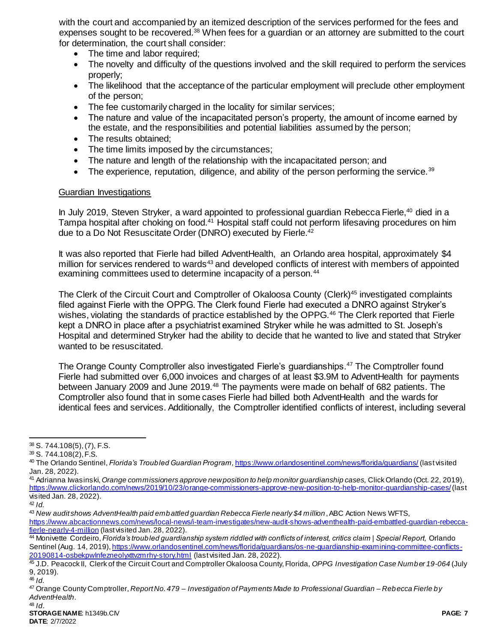with the court and accompanied by an itemized description of the services performed for the fees and expenses sought to be recovered.<sup>38</sup> When fees for a guardian or an attorney are submitted to the court for determination, the court shall consider:

- The time and labor required;
- The novelty and difficulty of the questions involved and the skill required to perform the services properly;
- The likelihood that the acceptance of the particular employment will preclude other employment of the person;
- The fee customarily charged in the locality for similar services;
- The nature and value of the incapacitated person's property, the amount of income earned by the estate, and the responsibilities and potential liabilities assumed by the person;
- The results obtained;
- The time limits imposed by the circumstances;
- The nature and length of the relationship with the incapacitated person; and
- $\bullet$  The experience, reputation, diligence, and ability of the person performing the service.<sup>39</sup>

#### Guardian Investigations

In July 2019, Steven Stryker, a ward appointed to professional guardian Rebecca Fierle,<sup>40</sup> died in a Tampa hospital after choking on food.<sup>41</sup> Hospital staff could not perform lifesaving procedures on him due to a Do Not Resuscitate Order (DNRO) executed by Fierle.<sup>42</sup>

It was also reported that Fierle had billed AdventHealth, an Orlando area hospital, approximately \$4 million for services rendered to wards<sup>43</sup> and developed conflicts of interest with members of appointed examining committees used to determine incapacity of a person.<sup>44</sup>

The Clerk of the Circuit Court and Comptroller of Okaloosa County (Clerk)<sup>45</sup> investigated complaints filed against Fierle with the OPPG. The Clerk found Fierle had executed a DNRO against Stryker's wishes, violating the standards of practice established by the OPPG.<sup>46</sup> The Clerk reported that Fierle kept a DNRO in place after a psychiatrist examined Stryker while he was admitted to St. Joseph's Hospital and determined Stryker had the ability to decide that he wanted to live and stated that Stryker wanted to be resuscitated.

The Orange County Comptroller also investigated Fierle's guardianships.<sup>47</sup> The Comptroller found Fierle had submitted over 6,000 invoices and charges of at least \$3.9M to AdventHealth for payments between January 2009 and June 2019.<sup>48</sup> The payments were made on behalf of 682 patients. The Comptroller also found that in some cases Fierle had billed both AdventHealth and the wards for identical fees and services. Additionally, the Comptroller identified conflicts of interest, including several

- <sup>41</sup> Adrianna Iwasinski, *Orange commissioners approve new position to help monitor guardianship cases,* Click Orlando (Oct. 22, 2019), <https://www.clickorlando.com/news/2019/10/23/orange-commissioners-approve-new-position-to-help-monitor-guardianship-cases/>(last visited Jan. 28, 2022).
- <sup>42</sup> *Id.*

 $\overline{a}$ 

 $38$  S. 744.108(5), (7), F.S.

<sup>39</sup> S. 744.108(2), F.S.

<sup>40</sup> The Orlando Sentinel, *Florida's Troubled Guardian Program,* <https://www.orlandosentinel.com/news/florida/guardians/> (last visited Jan. 28, 2022).

<sup>43</sup> *New audit shows AdventHealth paid embattled guardian Rebecca Fierle nearly \$4 million*, ABC Action News WFTS, [https://www.abcactionnews.com/news/local-news/i-team-investigates/new-audit-shows-adventhealth-paid-embattled-guardian-rebecca](https://www.abcactionnews.com/news/local-news/i-team-investigates/new-audit-shows-adventhealth-paid-embattled-guardian-rebecca-fierle-nearly-4-million)[fierle-nearly-4-million](https://www.abcactionnews.com/news/local-news/i-team-investigates/new-audit-shows-adventhealth-paid-embattled-guardian-rebecca-fierle-nearly-4-million) (last visited Jan. 28, 2022).

<sup>44</sup> Monivette Cordeiro, *Florida's troubled guardianship system riddled with conflicts of interest, critics claim | Special Report,* Orlando Sentinel (Aug. 14, 2019), https://www.orlandosentinel.com/news/florida/guardians/os-ne-quardianship-examining-committee-conflicts-[20190814-osbekpwlnfezneolyxttvzmrhy-story.html](https://www.orlandosentinel.com/news/florida/guardians/os-ne-guardianship-examining-committee-conflicts-20190814-osbekpwlnfezneolyxttvzmrhy-story.html) (last visited Jan. 28, 2022).

<sup>45</sup> J.D. Peacock II, Clerk of the Circuit Court and Comptroller Okaloosa County, Florida, *OPPG Investigation Case Number 19-064* (July 9, 2019).

<sup>46</sup> *Id.*

<sup>47</sup> Orange County Comptroller, *Report No. 479 – Investigation of Payments Made to Professional Guardian – Rebecca Fierle by AdventHealth*.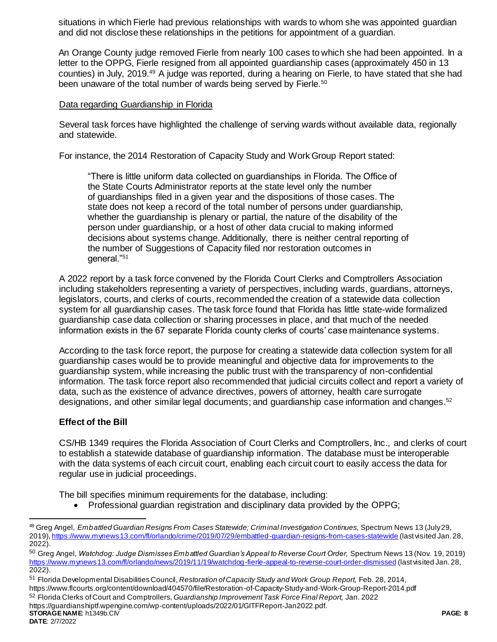situations in which Fierle had previous relationships with wards to whom she was appointed guardian and did not disclose these relationships in the petitions for appointment of a guardian.

An Orange County judge removed Fierle from nearly 100 cases to which she had been appointed. In a letter to the OPPG, Fierle resigned from all appointed guardianship cases (approximately 450 in 13 counties) in July, 2019.<sup>49</sup> A judge was reported, during a hearing on Fierle, to have stated that she had been unaware of the total number of wards being served by Fierle.<sup>50</sup>

### Data regarding Guardianship in Florida

Several task forces have highlighted the challenge of serving wards without available data, regionally and statewide.

For instance, the 2014 Restoration of Capacity Study and Work Group Report stated:

"There is little uniform data collected on guardianships in Florida. The Office of the State Courts Administrator reports at the state level only the number of guardianships filed in a given year and the dispositions of those cases. The state does not keep a record of the total number of persons under guardianship, whether the guardianship is plenary or partial, the nature of the disability of the person under guardianship, or a host of other data crucial to making informed decisions about systems change. Additionally, there is neither central reporting of the number of Suggestions of Capacity filed nor restoration outcomes in general."<sup>51</sup>

A 2022 report by a task force convened by the Florida Court Clerks and Comptrollers Association including stakeholders representing a variety of perspectives, including wards, guardians, attorneys, legislators, courts, and clerks of courts, recommended the creation of a statewide data collection system for all guardianship cases. The task force found that Florida has little state-wide formalized guardianship case data collection or sharing processes in place, and that much of the needed information exists in the 67 separate Florida county clerks of courts' case maintenance systems.

According to the task force report, the purpose for creating a statewide data collection system for all guardianship cases would be to provide meaningful and objective data for improvements to the guardianship system, while increasing the public trust with the transparency of non-confidential information. The task force report also recommended that judicial circuits collect and report a variety of data, such as the existence of advance directives, powers of attorney, health care surrogate designations, and other similar legal documents; and guardianship case information and changes.<sup>52</sup>

# **Effect of the Bill**

CS/HB 1349 requires the Florida Association of Court Clerks and Comptrollers, Inc., and clerks of court to establish a statewide database of guardianship information. The database must be interoperable with the data systems of each circuit court, enabling each circuit court to easily access the data for regular use in judicial proceedings.

The bill specifies minimum requirements for the database, including:

• Professional guardian registration and disciplinary data provided by the OPPG;

l

<sup>49</sup> Greg Angel, *Embattled Guardian Resigns From Cases Statewide; Criminal Investigation Continues,* Spectrum News 13 (July 29, 2019)[, https://www.mynews13.com/fl/orlando/crime/2019/07/29/embattled-guardian-resigns-from-cases-statewide](https://www.mynews13.com/fl/orlando/crime/2019/07/29/embattled-guardian-resigns-from-cases-statewide) (last visited Jan. 28, 2022).

<sup>50</sup> Greg Angel, *Watchdog: Judge Dismisses Embattled Guardian's Appeal to Reverse Court Order,* Spectrum News 13 (Nov. 19, 2019) <https://www.mynews13.com/fl/orlando/news/2019/11/19/watchdog-fierle-appeal-to-reverse-court-order-dismissed> (last visited Jan. 28, 2022).

<sup>51</sup> Florida Developmental Disabilities Council, *Restoration of Capacity Study and Work Group Report,* Feb. 28, 2014, https://www.flcourts.org/content/download/404570/file/Restoration-of-Capacity-Study-and-Work-Group-Report-2014.pdf <sup>52</sup> Florida Clerks of Court and Comptrollers, *Guardianship Improvement Task Force Final Report,* Jan. 2022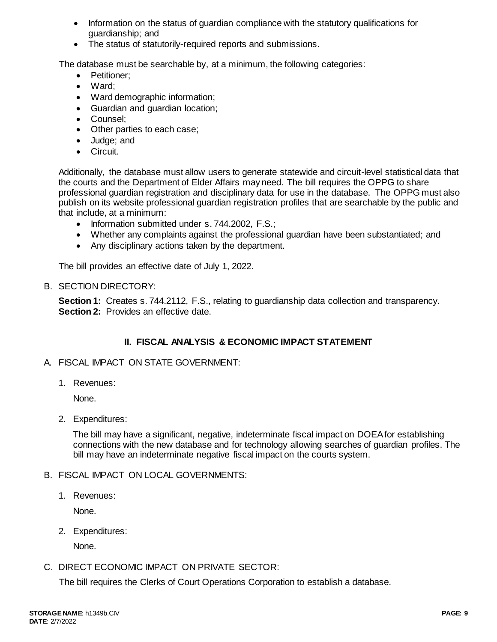- Information on the status of quardian compliance with the statutory qualifications for guardianship; and
- The status of statutorily-required reports and submissions.

The database must be searchable by, at a minimum, the following categories:

- Petitioner:
- Ward;
- Ward demographic information;
- Guardian and guardian location;
- Counsel:
- Other parties to each case;
- Judge; and
- Circuit.

Additionally, the database must allow users to generate statewide and circuit-level statistical data that the courts and the Department of Elder Affairs may need. The bill requires the OPPG to share professional guardian registration and disciplinary data for use in the database. The OPPG must also publish on its website professional guardian registration profiles that are searchable by the public and that include, at a minimum:

- Information submitted under s. 744.2002, F.S.;
- Whether any complaints against the professional guardian have been substantiated; and
- Any disciplinary actions taken by the department.

The bill provides an effective date of July 1, 2022.

### B. SECTION DIRECTORY:

**Section 1:** Creates s. 744.2112, F.S., relating to guardianship data collection and transparency. **Section 2:** Provides an effective date.

# **II. FISCAL ANALYSIS & ECONOMIC IMPACT STATEMENT**

# A. FISCAL IMPACT ON STATE GOVERNMENT:

1. Revenues:

None.

2. Expenditures:

The bill may have a significant, negative, indeterminate fiscal impact on DOEA for establishing connections with the new database and for technology allowing searches of guardian profiles. The bill may have an indeterminate negative fiscal impact on the courts system.

# B. FISCAL IMPACT ON LOCAL GOVERNMENTS:

1. Revenues:

None.

2. Expenditures:

None.

# C. DIRECT ECONOMIC IMPACT ON PRIVATE SECTOR:

The bill requires the Clerks of Court Operations Corporation to establish a database.